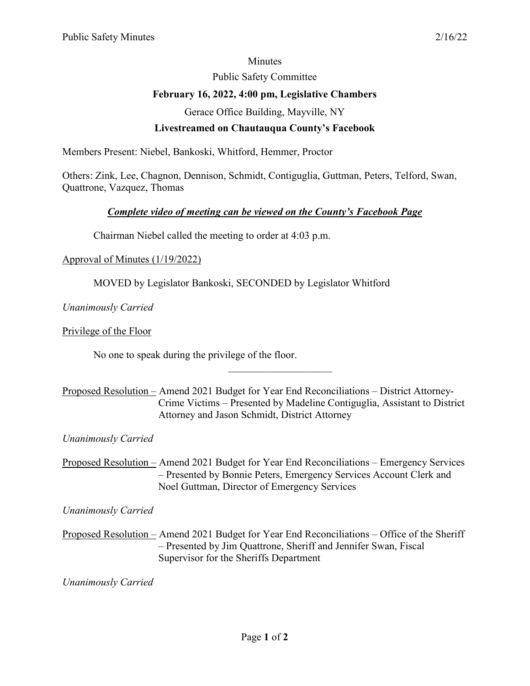#### **Minutes**

Public Safety Committee

# **February 16, 2022, 4:00 pm, Legislative Chambers**

Gerace Office Building, Mayville, NY

## **Livestreamed on Chautauqua County's Facebook**

Members Present: Niebel, Bankoski, Whitford, Hemmer, Proctor

Others: Zink, Lee, Chagnon, Dennison, Schmidt, Contiguglia, Guttman, Peters, Telford, Swan, Quattrone, Vazquez, Thomas

## *Complete video of meeting can be viewed on the County's Facebook Page*

Chairman Niebel called the meeting to order at 4:03 p.m.

#### Approval of Minutes (1/19/2022)

MOVED by Legislator Bankoski, SECONDED by Legislator Whitford

*Unanimously Carried*

Privilege of the Floor

No one to speak during the privilege of the floor.

Proposed Resolution – Amend 2021 Budget for Year End Reconciliations – District Attorney-Crime Victims – Presented by Madeline Contiguglia, Assistant to District Attorney and Jason Schmidt, District Attorney

 $\overline{\phantom{a}}$  . The set of the set of the set of the set of the set of the set of the set of the set of the set of the set of the set of the set of the set of the set of the set of the set of the set of the set of the set o

*Unanimously Carried* 

Proposed Resolution – Amend 2021 Budget for Year End Reconciliations – Emergency Services – Presented by Bonnie Peters, Emergency Services Account Clerk and Noel Guttman, Director of Emergency Services

*Unanimously Carried*

Proposed Resolution – Amend 2021 Budget for Year End Reconciliations – Office of the Sheriff – Presented by Jim Quattrone, Sheriff and Jennifer Swan, Fiscal Supervisor for the Sheriffs Department

*Unanimously Carried*